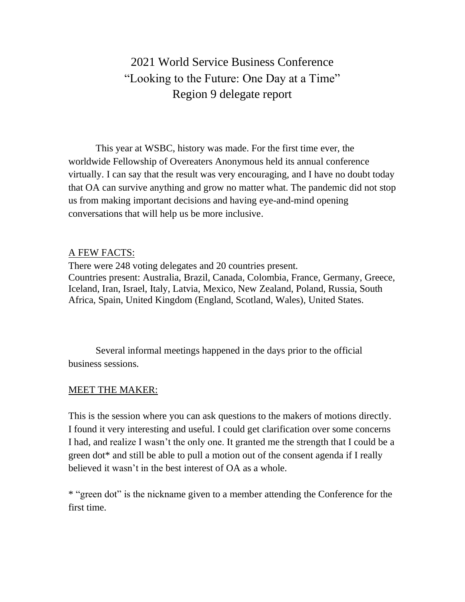2021 World Service Business Conference "Looking to the Future: One Day at a Time" Region 9 delegate report

This year at WSBC, history was made. For the first time ever, the worldwide Fellowship of Overeaters Anonymous held its annual conference virtually. I can say that the result was very encouraging, and I have no doubt today that OA can survive anything and grow no matter what. The pandemic did not stop us from making important decisions and having eye-and-mind opening conversations that will help us be more inclusive.

#### A FEW FACTS:

There were 248 voting delegates and 20 countries present. Countries present: Australia, Brazil, Canada, Colombia, France, Germany, Greece, Iceland, Iran, Israel, Italy, Latvia, Mexico, New Zealand, Poland, Russia, South Africa, Spain, United Kingdom (England, Scotland, Wales), United States.

Several informal meetings happened in the days prior to the official business sessions.

#### MEET THE MAKER:

This is the session where you can ask questions to the makers of motions directly. I found it very interesting and useful. I could get clarification over some concerns I had, and realize I wasn't the only one. It granted me the strength that I could be a green dot\* and still be able to pull a motion out of the consent agenda if I really believed it wasn't in the best interest of OA as a whole.

\* "green dot" is the nickname given to a member attending the Conference for the first time.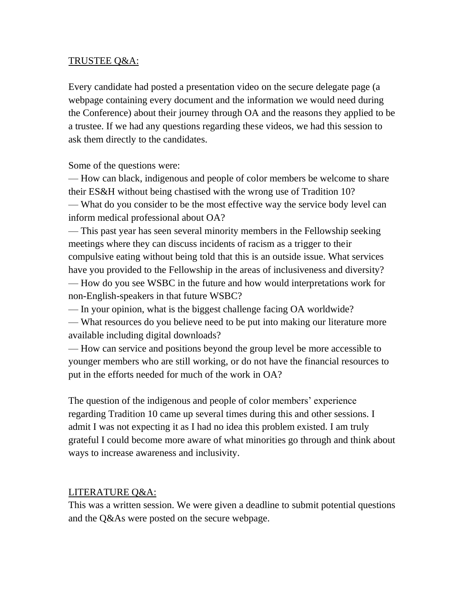### TRUSTEE Q&A:

Every candidate had posted a presentation video on the secure delegate page (a webpage containing every document and the information we would need during the Conference) about their journey through OA and the reasons they applied to be a trustee. If we had any questions regarding these videos, we had this session to ask them directly to the candidates.

Some of the questions were:

— How can black, indigenous and people of color members be welcome to share their ES&H without being chastised with the wrong use of Tradition 10? — What do you consider to be the most effective way the service body level can inform medical professional about OA?

— This past year has seen several minority members in the Fellowship seeking meetings where they can discuss incidents of racism as a trigger to their compulsive eating without being told that this is an outside issue. What services have you provided to the Fellowship in the areas of inclusiveness and diversity? — How do you see WSBC in the future and how would interpretations work for non-English-speakers in that future WSBC?

— In your opinion, what is the biggest challenge facing OA worldwide?

— What resources do you believe need to be put into making our literature more available including digital downloads?

— How can service and positions beyond the group level be more accessible to younger members who are still working, or do not have the financial resources to put in the efforts needed for much of the work in OA?

The question of the indigenous and people of color members' experience regarding Tradition 10 came up several times during this and other sessions. I admit I was not expecting it as I had no idea this problem existed. I am truly grateful I could become more aware of what minorities go through and think about ways to increase awareness and inclusivity.

#### LITERATURE Q&A:

This was a written session. We were given a deadline to submit potential questions and the Q&As were posted on the secure webpage.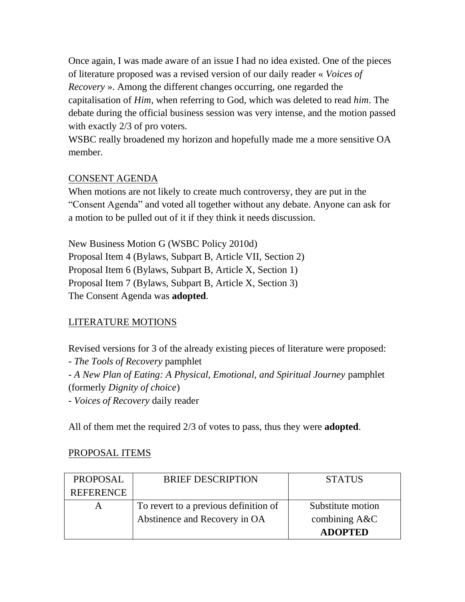Once again, I was made aware of an issue I had no idea existed. One of the pieces of literature proposed was a revised version of our daily reader « *Voices of Recovery* ». Among the different changes occurring, one regarded the capitalisation of *Him*, when referring to God, which was deleted to read *him*. The debate during the official business session was very intense, and the motion passed with exactly 2/3 of pro voters.

WSBC really broadened my horizon and hopefully made me a more sensitive OA member.

# CONSENT AGENDA

When motions are not likely to create much controversy, they are put in the "Consent Agenda" and voted all together without any debate. Anyone can ask for a motion to be pulled out of it if they think it needs discussion.

New Business Motion G (WSBC Policy 2010d) Proposal Item 4 (Bylaws, Subpart B, Article VII, Section 2) Proposal Item 6 (Bylaws, Subpart B, Article X, Section 1) Proposal Item 7 (Bylaws, Subpart B, Article X, Section 3) The Consent Agenda was **adopted**.

# LITERATURE MOTIONS

Revised versions for 3 of the already existing pieces of literature were proposed:

- *The Tools of Recovery* pamphlet

- *A New Plan of Eating: A Physical, Emotional, and Spiritual Journey* pamphlet (formerly *Dignity of choice*)

- *Voices of Recovery* daily reader

All of them met the required 2/3 of votes to pass, thus they were **adopted**.

# PROPOSAL ITEMS

| <b>PROPOSAL</b>  | <b>BRIEF DESCRIPTION</b>              | <b>STATUS</b>     |
|------------------|---------------------------------------|-------------------|
| <b>REFERENCE</b> |                                       |                   |
|                  | To revert to a previous definition of | Substitute motion |
|                  | Abstinence and Recovery in OA         | combining $A&C$   |
|                  |                                       | <b>ADOPTED</b>    |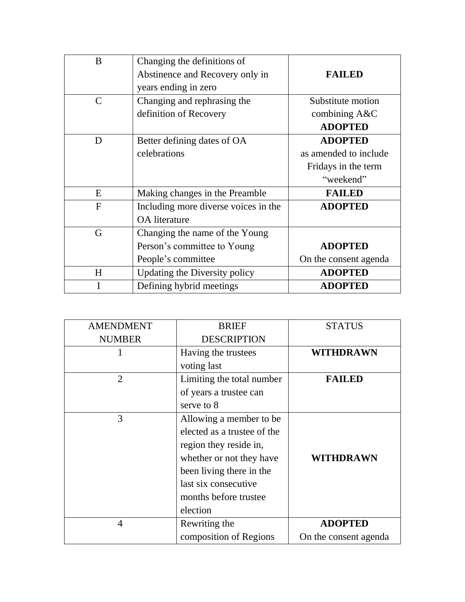| B             | Changing the definitions of<br>Abstinence and Recovery only in<br>years ending in zero | <b>FAILED</b>                                                               |
|---------------|----------------------------------------------------------------------------------------|-----------------------------------------------------------------------------|
| $\mathcal{C}$ | Changing and rephrasing the<br>definition of Recovery                                  | Substitute motion<br>combining A&C<br><b>ADOPTED</b>                        |
| D             | Better defining dates of OA<br>celebrations                                            | <b>ADOPTED</b><br>as amended to include<br>Fridays in the term<br>"weekend" |
| E             | Making changes in the Preamble                                                         | <b>FAILED</b>                                                               |
| $\mathbf F$   | Including more diverse voices in the<br><b>OA</b> literature                           | <b>ADOPTED</b>                                                              |
| G             | Changing the name of the Young<br>Person's committee to Young<br>People's committee    | <b>ADOPTED</b><br>On the consent agenda                                     |
| H             | Updating the Diversity policy                                                          | <b>ADOPTED</b>                                                              |
| I             | Defining hybrid meetings                                                               | <b>ADOPTED</b>                                                              |

| <b>AMENDMENT</b> | <b>BRIEF</b>                | <b>STATUS</b>         |
|------------------|-----------------------------|-----------------------|
| <b>NUMBER</b>    | <b>DESCRIPTION</b>          |                       |
|                  | Having the trustees         | <b>WITHDRAWN</b>      |
|                  | voting last                 |                       |
| $\overline{2}$   | Limiting the total number   | <b>FAILED</b>         |
|                  | of years a trustee can      |                       |
|                  | serve to 8                  |                       |
| 3                | Allowing a member to be     |                       |
|                  | elected as a trustee of the |                       |
|                  | region they reside in,      |                       |
|                  | whether or not they have    | <b>WITHDRAWN</b>      |
|                  | been living there in the    |                       |
|                  | last six consecutive        |                       |
|                  | months before trustee.      |                       |
|                  | election                    |                       |
| $\overline{4}$   | Rewriting the               | <b>ADOPTED</b>        |
|                  | composition of Regions      | On the consent agenda |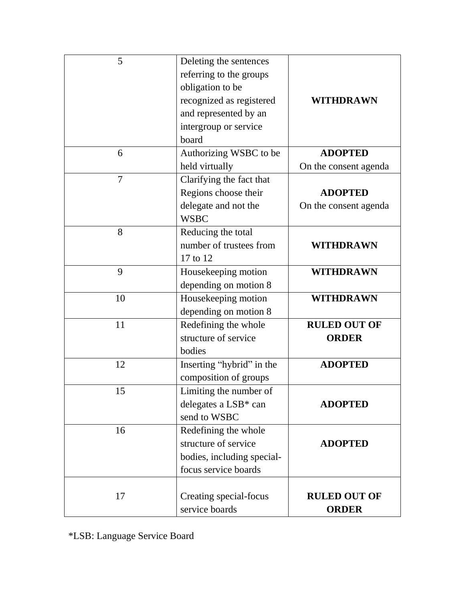| 5      | Deleting the sentences           |                       |
|--------|----------------------------------|-----------------------|
|        | referring to the groups          |                       |
|        | obligation to be                 |                       |
|        | recognized as registered         | <b>WITHDRAWN</b>      |
|        | and represented by an            |                       |
|        | intergroup or service            |                       |
|        | board                            |                       |
| 6      | Authorizing WSBC to be           | <b>ADOPTED</b>        |
|        | held virtually                   | On the consent agenda |
| $\tau$ | Clarifying the fact that         |                       |
|        | Regions choose their             | <b>ADOPTED</b>        |
|        | delegate and not the             | On the consent agenda |
|        | <b>WSBC</b>                      |                       |
| 8      | Reducing the total               |                       |
|        | number of trustees from          | <b>WITHDRAWN</b>      |
|        | 17 to 12                         |                       |
| 9      | Housekeeping motion              | <b>WITHDRAWN</b>      |
|        | depending on motion 8            |                       |
| 10     | Housekeeping motion              | <b>WITHDRAWN</b>      |
|        | depending on motion 8            |                       |
| 11     | Redefining the whole             | <b>RULED OUT OF</b>   |
|        | structure of service             | <b>ORDER</b>          |
|        | bodies                           |                       |
| 12     | Inserting "hybrid" in the        | <b>ADOPTED</b>        |
|        | composition of groups            |                       |
| 15     | Limiting the number of           |                       |
|        | delegates a LSB <sup>*</sup> can | <b>ADOPTED</b>        |
|        | send to WSBC                     |                       |
| 16     | Redefining the whole             |                       |
|        | structure of service             | <b>ADOPTED</b>        |
|        | bodies, including special-       |                       |
|        | focus service boards             |                       |
|        |                                  |                       |
| 17     | Creating special-focus           | <b>RULED OUT OF</b>   |
|        | service boards                   | <b>ORDER</b>          |

\*LSB: Language Service Board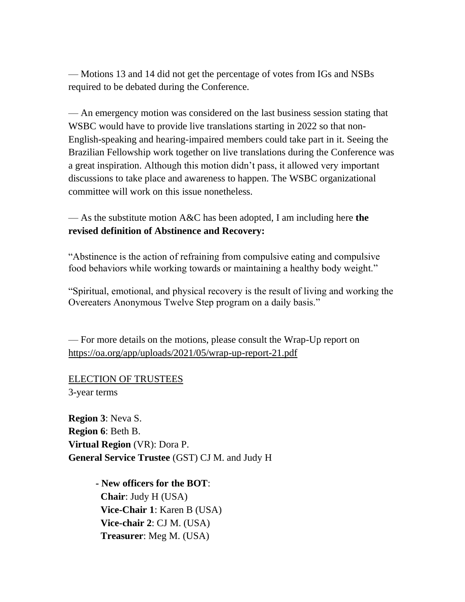— Motions 13 and 14 did not get the percentage of votes from IGs and NSBs required to be debated during the Conference.

— An emergency motion was considered on the last business session stating that WSBC would have to provide live translations starting in 2022 so that non-English-speaking and hearing-impaired members could take part in it. Seeing the Brazilian Fellowship work together on live translations during the Conference was a great inspiration. Although this motion didn't pass, it allowed very important discussions to take place and awareness to happen. The WSBC organizational committee will work on this issue nonetheless.

— As the substitute motion A&C has been adopted, I am including here **the revised definition of Abstinence and Recovery:**

"Abstinence is the action of refraining from compulsive eating and compulsive food behaviors while working towards or maintaining a healthy body weight."

"Spiritual, emotional, and physical recovery is the result of living and working the Overeaters Anonymous Twelve Step program on a daily basis."

— For more details on the motions, please consult the Wrap-Up report on https://oa.org/app/uploads/2021/05/wrap-up-report-21.pdf

ELECTION OF TRUSTEES 3-year terms

**Region 3**: Neva S. **Region 6**: Beth B. **Virtual Region** (VR): Dora P. **General Service Trustee** (GST) CJ M. and Judy H

> **- New officers for the BOT**: **Chair**: Judy H (USA) **Vice-Chair 1**: Karen B (USA) **Vice-chair 2**: CJ M. (USA) **Treasurer**: Meg M. (USA)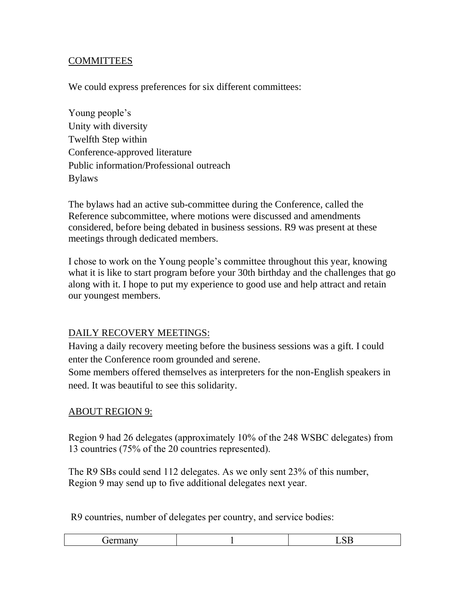# **COMMITTEES**

We could express preferences for six different committees:

Young people's Unity with diversity Twelfth Step within Conference-approved literature Public information/Professional outreach Bylaws

The bylaws had an active sub-committee during the Conference, called the Reference subcommittee, where motions were discussed and amendments considered, before being debated in business sessions. R9 was present at these meetings through dedicated members.

I chose to work on the Young people's committee throughout this year, knowing what it is like to start program before your 30th birthday and the challenges that go along with it. I hope to put my experience to good use and help attract and retain our youngest members.

### DAILY RECOVERY MEETINGS:

Having a daily recovery meeting before the business sessions was a gift. I could enter the Conference room grounded and serene.

Some members offered themselves as interpreters for the non-English speakers in need. It was beautiful to see this solidarity.

### ABOUT REGION 9:

Region 9 had 26 delegates (approximately 10% of the 248 WSBC delegates) from 13 countries (75% of the 20 countries represented).

The R9 SBs could send 112 delegates. As we only sent 23% of this number, Region 9 may send up to five additional delegates next year.

R9 countries, number of delegates per country, and service bodies:

|--|